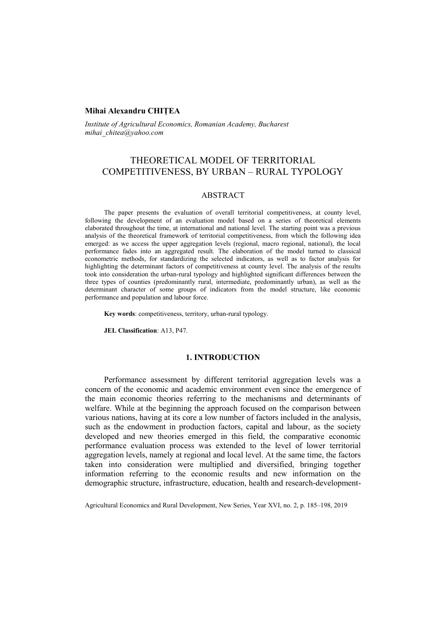# **Mihai Alexandru CHIȚEA**

*Institute of Agricultural Economics, Romanian Academy, Bucharest mihai\_chitea@yahoo.com* 

# THEORETICAL MODEL OF TERRITORIAL COMPETITIVENESS, BY URBAN – RURAL TYPOLOGY

# ABSTRACT

The paper presents the evaluation of overall territorial competitiveness, at county level, following the development of an evaluation model based on a series of theoretical elements elaborated throughout the time, at international and national level. The starting point was a previous analysis of the theoretical framework of territorial competitiveness, from which the following idea emerged: as we access the upper aggregation levels (regional, macro regional, national), the local performance fades into an aggregated result. The elaboration of the model turned to classical econometric methods, for standardizing the selected indicators, as well as to factor analysis for highlighting the determinant factors of competitiveness at county level. The analysis of the results took into consideration the urban-rural typology and highlighted significant differences between the three types of counties (predominantly rural, intermediate, predominantly urban), as well as the determinant character of some groups of indicators from the model structure, like economic performance and population and labour force.

**Key words**: competitiveness, territory, urban-rural typology.

**JEL Classification**: A13, P47.

# **1. INTRODUCTION**

Performance assessment by different territorial aggregation levels was a concern of the economic and academic environment even since the emergence of the main economic theories referring to the mechanisms and determinants of welfare. While at the beginning the approach focused on the comparison between various nations, having at its core a low number of factors included in the analysis, such as the endowment in production factors, capital and labour, as the society developed and new theories emerged in this field, the comparative economic performance evaluation process was extended to the level of lower territorial aggregation levels, namely at regional and local level. At the same time, the factors taken into consideration were multiplied and diversified, bringing together information referring to the economic results and new information on the demographic structure, infrastructure, education, health and research-development-

Agricultural Economics and Rural Development, New Series, Year XVI, no. 2, p. 185–198, 2019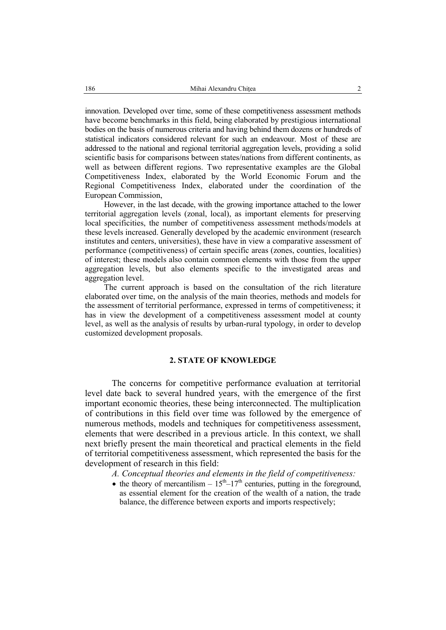innovation. Developed over time, some of these competitiveness assessment methods have become benchmarks in this field, being elaborated by prestigious international bodies on the basis of numerous criteria and having behind them dozens or hundreds of statistical indicators considered relevant for such an endeavour. Most of these are addressed to the national and regional territorial aggregation levels, providing a solid scientific basis for comparisons between states/nations from different continents, as well as between different regions. Two representative examples are the Global Competitiveness Index, elaborated by the World Economic Forum and the Regional Competitiveness Index, elaborated under the coordination of the European Commission,

However, in the last decade, with the growing importance attached to the lower territorial aggregation levels (zonal, local), as important elements for preserving local specificities, the number of competitiveness assessment methods/models at these levels increased. Generally developed by the academic environment (research institutes and centers, universities), these have in view a comparative assessment of performance (competitiveness) of certain specific areas (zones, counties, localities) of interest; these models also contain common elements with those from the upper aggregation levels, but also elements specific to the investigated areas and aggregation level.

The current approach is based on the consultation of the rich literature elaborated over time, on the analysis of the main theories, methods and models for the assessment of territorial performance, expressed in terms of competitiveness; it has in view the development of a competitiveness assessment model at county level, as well as the analysis of results by urban-rural typology, in order to develop customized development proposals.

# **2. STATE OF KNOWLEDGE**

The concerns for competitive performance evaluation at territorial level date back to several hundred years, with the emergence of the first important economic theories, these being interconnected. The multiplication of contributions in this field over time was followed by the emergence of numerous methods, models and techniques for competitiveness assessment, elements that were described in a previous article. In this context, we shall next briefly present the main theoretical and practical elements in the field of territorial competitiveness assessment, which represented the basis for the development of research in this field:

*A. Conceptual theories and elements in the field of competitiveness:*

• the theory of mercantilism  $-15<sup>th</sup>-17<sup>th</sup>$  centuries, putting in the foreground, as essential element for the creation of the wealth of a nation, the trade balance, the difference between exports and imports respectively;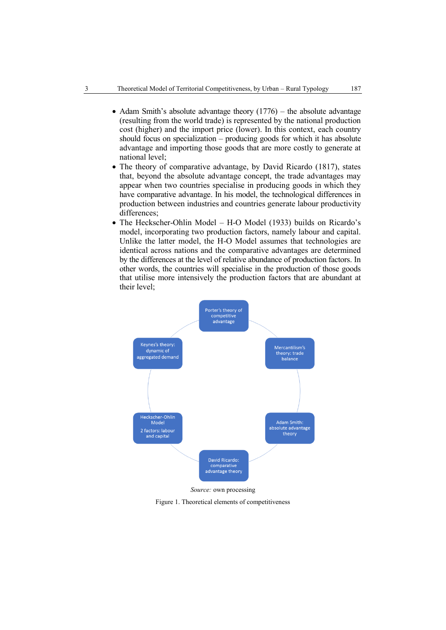- Adam Smith's absolute advantage theory  $(1776)$  the absolute advantage (resulting from the world trade) is represented by the national production cost (higher) and the import price (lower). In this context, each country should focus on specialization – producing goods for which it has absolute advantage and importing those goods that are more costly to generate at national level;
- The theory of comparative advantage, by David Ricardo (1817), states that, beyond the absolute advantage concept, the trade advantages may appear when two countries specialise in producing goods in which they have comparative advantage. In his model, the technological differences in production between industries and countries generate labour productivity differences;
- The Heckscher-Ohlin Model H-O Model (1933) builds on Ricardo's model, incorporating two production factors, namely labour and capital. Unlike the latter model, the H-O Model assumes that technologies are identical across nations and the comparative advantages are determined by the differences at the level of relative abundance of production factors. In other words, the countries will specialise in the production of those goods that utilise more intensively the production factors that are abundant at their level;



*Source:* own processing

Figure 1. Theoretical elements of competitiveness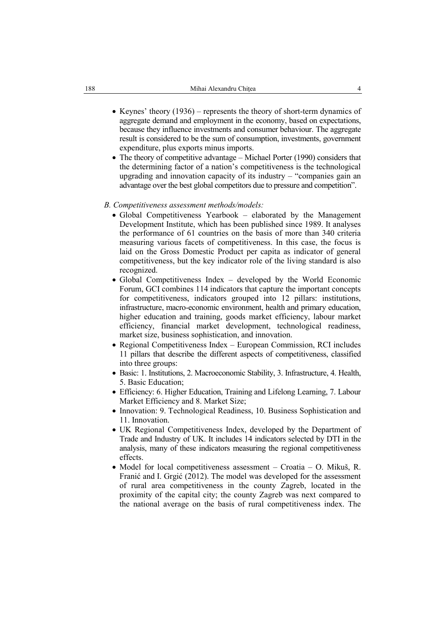- Keynes' theory  $(1936)$  represents the theory of short-term dynamics of aggregate demand and employment in the economy, based on expectations, because they influence investments and consumer behaviour. The aggregate result is considered to be the sum of consumption, investments, government expenditure, plus exports minus imports.
- The theory of competitive advantage Michael Porter (1990) considers that the determining factor of a nation's competitiveness is the technological upgrading and innovation capacity of its industry – "companies gain an advantage over the best global competitors due to pressure and competition".

#### *B. Competitiveness assessment methods/models:*

- Global Competitiveness Yearbook elaborated by the Management Development Institute, which has been published since 1989. It analyses the performance of 61 countries on the basis of more than 340 criteria measuring various facets of competitiveness. In this case, the focus is laid on the Gross Domestic Product per capita as indicator of general competitiveness, but the key indicator role of the living standard is also recognized.
- Global Competitiveness Index developed by the World Economic Forum, GCI combines 114 indicators that capture the important concepts for competitiveness, indicators grouped into 12 pillars: institutions, infrastructure, macro-economic environment, health and primary education, higher education and training, goods market efficiency, labour market efficiency, financial market development, technological readiness, market size, business sophistication, and innovation.
- Regional Competitiveness Index European Commission, RCI includes 11 pillars that describe the different aspects of competitiveness, classified into three groups:
- Basic: 1. Institutions, 2. Macroeconomic Stability, 3. Infrastructure, 4. Health, 5. Basic Education;
- Efficiency: 6. Higher Education, Training and Lifelong Learning, 7. Labour Market Efficiency and 8. Market Size;
- Innovation: 9. Technological Readiness, 10. Business Sophistication and 11. Innovation.
- UK Regional Competitiveness Index, developed by the Department of Trade and Industry of UK. It includes 14 indicators selected by DTI in the analysis, many of these indicators measuring the regional competitiveness effects.
- $\bullet$  Model for local competitiveness assessment Croatia O. Mikuš, R. Franić and I. Grgić (2012). The model was developed for the assessment of rural area competitiveness in the county Zagreb, located in the proximity of the capital city; the county Zagreb was next compared to the national average on the basis of rural competitiveness index. The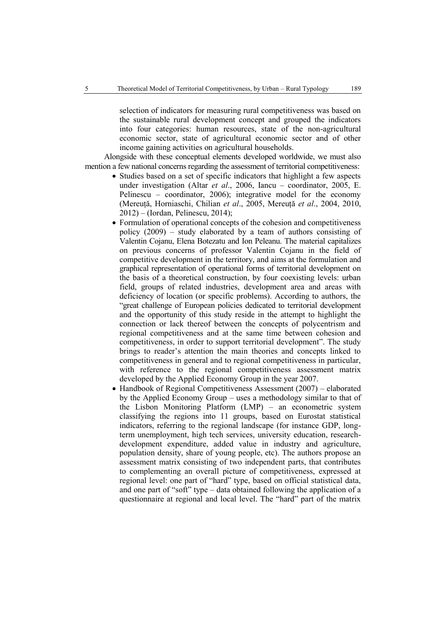selection of indicators for measuring rural competitiveness was based on the sustainable rural development concept and grouped the indicators into four categories: human resources, state of the non-agricultural economic sector, state of agricultural economic sector and of other income gaining activities on agricultural households.

Alongside with these conceptual elements developed worldwide, we must also mention a few national concerns regarding the assessment of territorial competitiveness:

- Studies based on a set of specific indicators that highlight a few aspects under investigation (Altar *et al*., 2006, Iancu – coordinator, 2005, E. Pelinescu – coordinator, 2006); integrative model for the economy (Mereuță, Horniaschi, Chilian *et al*., 2005, Mereuță *et al*., 2004, 2010, 2012) – (Iordan, Pelinescu, 2014);
- Formulation of operational concepts of the cohesion and competitiveness policy (2009) – study elaborated by a team of authors consisting of Valentin Cojanu, Elena Botezatu and Ion Peleanu. The material capitalizes on previous concerns of professor Valentin Cojanu in the field of competitive development in the territory, and aims at the formulation and graphical representation of operational forms of territorial development on the basis of a theoretical construction, by four coexisting levels: urban field, groups of related industries, development area and areas with deficiency of location (or specific problems). According to authors, the "great challenge of European policies dedicated to territorial development and the opportunity of this study reside in the attempt to highlight the connection or lack thereof between the concepts of polycentrism and regional competitiveness and at the same time between cohesion and competitiveness, in order to support territorial development". The study brings to reader's attention the main theories and concepts linked to competitiveness in general and to regional competitiveness in particular, with reference to the regional competitiveness assessment matrix developed by the Applied Economy Group in the year 2007.
- Handbook of Regional Competitiveness Assessment (2007) elaborated by the Applied Economy Group – uses a methodology similar to that of the Lisbon Monitoring Platform (LMP) – an econometric system classifying the regions into 11 groups, based on Eurostat statistical indicators, referring to the regional landscape (for instance GDP, longterm unemployment, high tech services, university education, researchdevelopment expenditure, added value in industry and agriculture, population density, share of young people, etc). The authors propose an assessment matrix consisting of two independent parts, that contributes to complementing an overall picture of competitiveness, expressed at regional level: one part of "hard" type, based on official statistical data, and one part of "soft" type – data obtained following the application of a questionnaire at regional and local level. The "hard" part of the matrix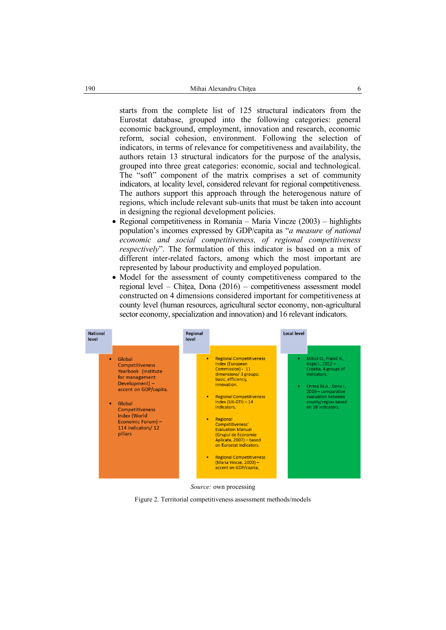starts from the complete list of 125 structural indicators from the Eurostat database, grouped into the following categories: general economic background, employment, innovation and research, economic reform, social cohesion, environment. Following the selection of indicators, in terms of relevance for competitiveness and availability, the authors retain 13 structural indicators for the purpose of the analysis, grouped into three great categories: economic, social and technological. The "soft" component of the matrix comprises a set of community indicators, at locality level, considered relevant for regional competitiveness. The authors support this approach through the heterogenous nature of regions, which include relevant sub-units that must be taken into account in designing the regional development policies.

- Regional competitiveness in Romania Maria Vincze (2003) highlights population's incomes expressed by GDP/capita as "*a measure of national economic and social competitiveness, of regional competitiveness respectively*". The formulation of this indicator is based on a mix of different inter-related factors, among which the most important are represented by labour productivity and employed population.
- Model for the assessment of county competitiveness compared to the regional level – Chițea, Dona (2016) – competitiveness assessment model constructed on 4 dimensions considered important for competitiveness at county level (human resources, agricultural sector economy, non-agricultural sector economy, specialization and innovation) and 16 relevant indicators.



Figure 2. Territorial competitiveness assessment methods/models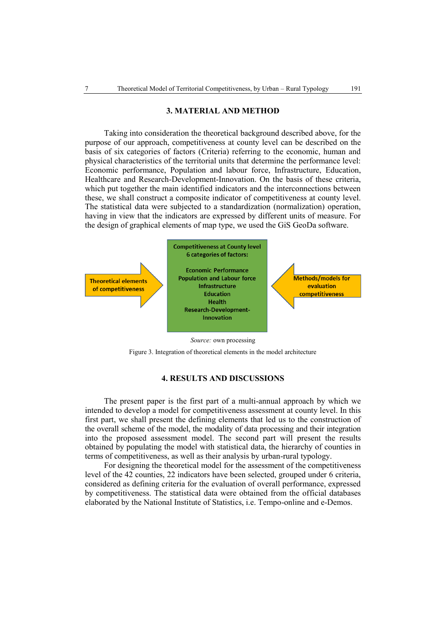### **3. MATERIAL AND METHOD**

Taking into consideration the theoretical background described above, for the purpose of our approach, competitiveness at county level can be described on the basis of six categories of factors (Criteria) referring to the economic, human and physical characteristics of the territorial units that determine the performance level: Economic performance, Population and labour force, Infrastructure, Education, Healthcare and Research-Development-Innovation. On the basis of these criteria, which put together the main identified indicators and the interconnections between these, we shall construct a composite indicator of competitiveness at county level. The statistical data were subjected to a standardization (normalization) operation, having in view that the indicators are expressed by different units of measure. For the design of graphical elements of map type, we used the GiS GeoDa software.



Figure 3. Integration of theoretical elements in the model architecture

# **4. RESULTS AND DISCUSSIONS**

The present paper is the first part of a multi-annual approach by which we intended to develop a model for competitiveness assessment at county level. In this first part, we shall present the defining elements that led us to the construction of the overall scheme of the model, the modality of data processing and their integration into the proposed assessment model. The second part will present the results obtained by populating the model with statistical data, the hierarchy of counties in terms of competitiveness, as well as their analysis by urban-rural typology.

For designing the theoretical model for the assessment of the competitiveness level of the 42 counties, 22 indicators have been selected, grouped under 6 criteria, considered as defining criteria for the evaluation of overall performance, expressed by competitiveness. The statistical data were obtained from the official databases elaborated by the National Institute of Statistics, i.e. Tempo-online and e-Demos.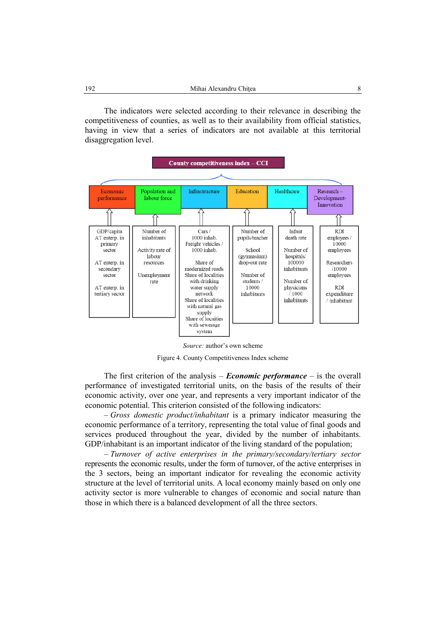The indicators were selected according to their relevance in describing the competitiveness of counties, as well as to their availability from official statistics, having in view that a series of indicators are not available at this territorial disaggregation level.



*Source:* author's own scheme

Figure 4. County Competitiveness Index scheme

The first criterion of the analysis – *Economic performance –* is the overall performance of investigated territorial units, on the basis of the results of their economic activity, over one year, and represents a very important indicator of the economic potential. This criterion consisted of the following indicators:

– *Gross domestic product/inhabitant* is a primary indicator measuring the economic performance of a territory, representing the total value of final goods and services produced throughout the year, divided by the number of inhabitants. GDP/inhabitant is an important indicator of the living standard of the population;

– *Turnover of active enterprises in the primary/secondary/tertiary sector*  represents the economic results, under the form of turnover, of the active enterprises in the 3 sectors, being an important indicator for revealing the economic activity structure at the level of territorial units. A local economy mainly based on only one activity sector is more vulnerable to changes of economic and social nature than those in which there is a balanced development of all the three sectors.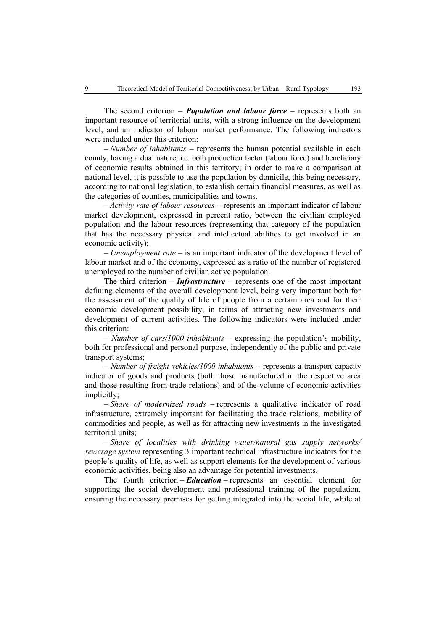The second criterion – *Population and labour force* – represents both an important resource of territorial units, with a strong influence on the development level, and an indicator of labour market performance. The following indicators were included under this criterion:

– *Number of inhabitants* – represents the human potential available in each county, having a dual nature, i.e. both production factor (labour force) and beneficiary of economic results obtained in this territory; in order to make a comparison at national level, it is possible to use the population by domicile, this being necessary, according to national legislation, to establish certain financial measures, as well as the categories of counties, municipalities and towns.

– *Activity rate of labour resources –* represents an important indicator of labour market development, expressed in percent ratio, between the civilian employed population and the labour resources (representing that category of the population that has the necessary physical and intellectual abilities to get involved in an economic activity);

– *Unemployment rate* – is an important indicator of the development level of labour market and of the economy, expressed as a ratio of the number of registered unemployed to the number of civilian active population.

The third criterion – *Infrastructure* – represents one of the most important defining elements of the overall development level, being very important both for the assessment of the quality of life of people from a certain area and for their economic development possibility, in terms of attracting new investments and development of current activities. The following indicators were included under this criterion:

– *Number of cars/1000 inhabitants* – expressing the population's mobility, both for professional and personal purpose, independently of the public and private transport systems;

– *Number of freight vehicles/1000 inhabitants* – represents a transport capacity indicator of goods and products (both those manufactured in the respective area and those resulting from trade relations) and of the volume of economic activities implicitly;

– *Share of modernized roads –* represents a qualitative indicator of road infrastructure, extremely important for facilitating the trade relations, mobility of commodities and people, as well as for attracting new investments in the investigated territorial units;

– *Share of localities with drinking water/natural gas supply networks/ sewerage system* representing 3 important technical infrastructure indicators for the people's quality of life, as well as support elements for the development of various economic activities, being also an advantage for potential investments.

The fourth criterion – *Education* – represents an essential element for supporting the social development and professional training of the population, ensuring the necessary premises for getting integrated into the social life, while at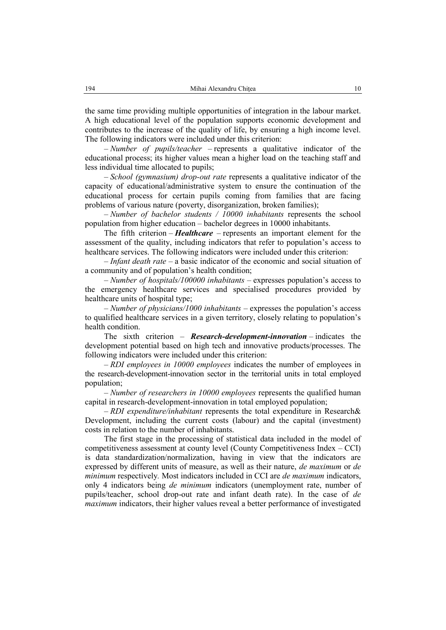the same time providing multiple opportunities of integration in the labour market. A high educational level of the population supports economic development and contributes to the increase of the quality of life, by ensuring a high income level. The following indicators were included under this criterion:

– *Number of pupils/teacher –* represents a qualitative indicator of the educational process; its higher values mean a higher load on the teaching staff and less individual time allocated to pupils;

– *School (gymnasium) drop-out rate* represents a qualitative indicator of the capacity of educational/administrative system to ensure the continuation of the educational process for certain pupils coming from families that are facing problems of various nature (poverty, disorganization, broken families);

– *Number of bachelor students / 10000 inhabitants* represents the school population from higher education – bachelor degrees in 10000 inhabitants.

The fifth criterion – *Healthcare* – represents an important element for the assessment of the quality, including indicators that refer to population's access to healthcare services. The following indicators were included under this criterion:

– *Infant death rate* – a basic indicator of the economic and social situation of a community and of population's health condition;

– *Number of hospitals/100000 inhabitants –* expresses population's access to the emergency healthcare services and specialised procedures provided by healthcare units of hospital type;

– *Number of physicians/1000 inhabitants* – expresses the population's access to qualified healthcare services in a given territory, closely relating to population's health condition.

The sixth criterion – *Research-development-innovation* – indicates the development potential based on high tech and innovative products/processes. The following indicators were included under this criterion:

– *RDI employees in 10000 employees* indicates the number of employees in the research-development-innovation sector in the territorial units in total employed population;

– *Number of researchers in 10000 employees* represents the qualified human capital in research-development-innovation in total employed population;

– *RDI expenditure/inhabitant* represents the total expenditure in Research& Development, including the current costs (labour) and the capital (investment) costs in relation to the number of inhabitants.

The first stage in the processing of statistical data included in the model of competitiveness assessment at county level (County Competitiveness Index – CCI) is data standardization/normalization, having in view that the indicators are expressed by different units of measure, as well as their nature, *de maximum* or *de minimum* respectively*.* Most indicators included in CCI are *de maximum* indicators, only 4 indicators being *de minimum* indicators (unemployment rate, number of pupils/teacher, school drop-out rate and infant death rate). In the case of *de maximum* indicators, their higher values reveal a better performance of investigated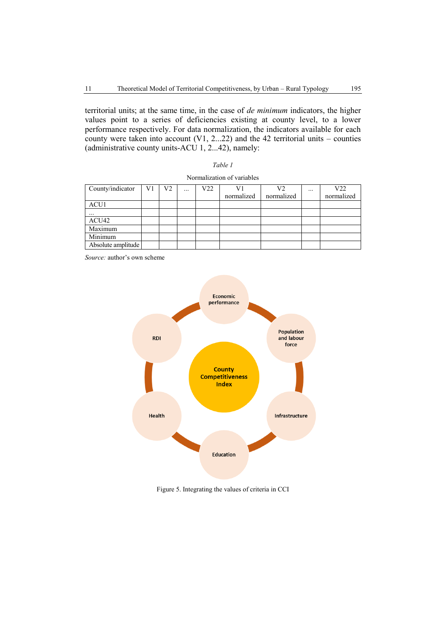territorial units; at the same time, in the case of *de minimum* indicators, the higher values point to a series of deficiencies existing at county level, to a lower performance respectively. For data normalization, the indicators available for each county were taken into account  $(V1, 2...22)$  and the 42 territorial units – counties (administrative county units-ACU 1, 2...42), namely:

| anı |  |
|-----|--|
|-----|--|

| County/indicator   | V1 | V2 | $\cdots$ | V22 | V1         | V2         | $\cdots$ | V22        |
|--------------------|----|----|----------|-----|------------|------------|----------|------------|
|                    |    |    |          |     | normalized | normalized |          | normalized |
| ACU1               |    |    |          |     |            |            |          |            |
| $\cdots$           |    |    |          |     |            |            |          |            |
| ACU42              |    |    |          |     |            |            |          |            |
| Maximum            |    |    |          |     |            |            |          |            |
| Minimum            |    |    |          |     |            |            |          |            |
| Absolute amplitude |    |    |          |     |            |            |          |            |

Normalization of variables

*Source:* author's own scheme



Figure 5. Integrating the values of criteria in CCI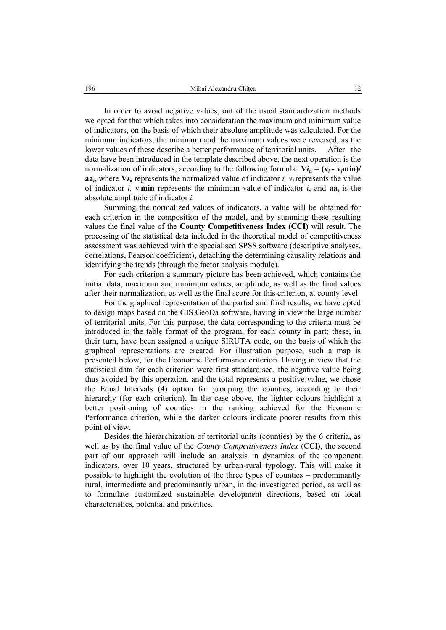In order to avoid negative values, out of the usual standardization methods we opted for that which takes into consideration the maximum and minimum value of indicators, on the basis of which their absolute amplitude was calculated. For the minimum indicators, the minimum and the maximum values were reversed, as the lower values of these describe a better performance of territorial units. After the data have been introduced in the template described above, the next operation is the normalization of indicators, according to the following formula:  $V_i$ <sub>n</sub> = ( $v_i$  -  $v_i$ min)/ **aa**<sub>*i*</sub>, where  $\mathbf{V}$ *i*<sub>n</sub> represents the normalized value of indicator *i*,  $v_i$  represents the value of indicator *i*,  $v_i$  min represents the minimum value of indicator *i*, and  $a_i$  is the absolute amplitude of indicator *i.*

Summing the normalized values of indicators, a value will be obtained for each criterion in the composition of the model, and by summing these resulting values the final value of the **County Competitiveness Index (CCI)** will result. The processing of the statistical data included in the theoretical model of competitiveness assessment was achieved with the specialised SPSS software (descriptive analyses, correlations, Pearson coefficient), detaching the determining causality relations and identifying the trends (through the factor analysis module).

For each criterion a summary picture has been achieved, which contains the initial data, maximum and minimum values, amplitude, as well as the final values after their normalization, as well as the final score for this criterion, at county level

For the graphical representation of the partial and final results, we have opted to design maps based on the GIS GeoDa software, having in view the large number of territorial units. For this purpose, the data corresponding to the criteria must be introduced in the table format of the program, for each county in part; these, in their turn, have been assigned a unique SIRUTA code, on the basis of which the graphical representations are created. For illustration purpose, such a map is presented below, for the Economic Performance criterion. Having in view that the statistical data for each criterion were first standardised, the negative value being thus avoided by this operation, and the total represents a positive value, we chose the Equal Intervals (4) option for grouping the counties, according to their hierarchy (for each criterion). In the case above, the lighter colours highlight a better positioning of counties in the ranking achieved for the Economic Performance criterion, while the darker colours indicate poorer results from this point of view.

Besides the hierarchization of territorial units (counties) by the 6 criteria, as well as by the final value of the *County Competitiveness Index* (CCI), the second part of our approach will include an analysis in dynamics of the component indicators, over 10 years, structured by urban-rural typology. This will make it possible to highlight the evolution of the three types of counties – predominantly rural, intermediate and predominantly urban, in the investigated period, as well as to formulate customized sustainable development directions, based on local characteristics, potential and priorities.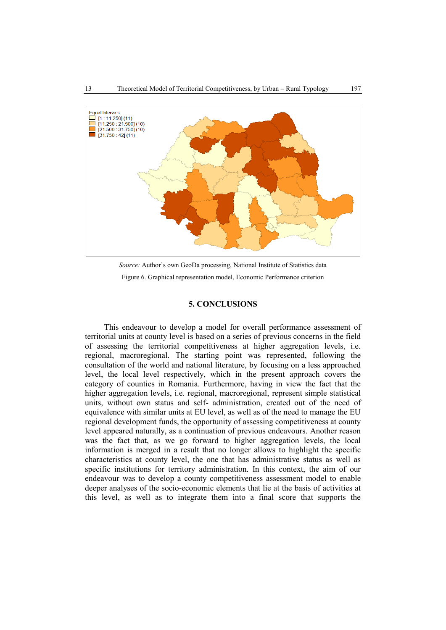

*Source:* Author's own GeoDa processing, National Institute of Statistics data Figure 6. Graphical representation model, Economic Performance criterion

# **5. CONCLUSIONS**

This endeavour to develop a model for overall performance assessment of territorial units at county level is based on a series of previous concerns in the field of assessing the territorial competitiveness at higher aggregation levels, i.e. regional, macroregional. The starting point was represented, following the consultation of the world and national literature, by focusing on a less approached level, the local level respectively, which in the present approach covers the category of counties in Romania. Furthermore, having in view the fact that the higher aggregation levels, i.e. regional, macroregional, represent simple statistical units, without own status and self- administration, created out of the need of equivalence with similar units at EU level, as well as of the need to manage the EU regional development funds, the opportunity of assessing competitiveness at county level appeared naturally, as a continuation of previous endeavours. Another reason was the fact that, as we go forward to higher aggregation levels, the local information is merged in a result that no longer allows to highlight the specific characteristics at county level, the one that has administrative status as well as specific institutions for territory administration. In this context, the aim of our endeavour was to develop a county competitiveness assessment model to enable deeper analyses of the socio-economic elements that lie at the basis of activities at this level, as well as to integrate them into a final score that supports the